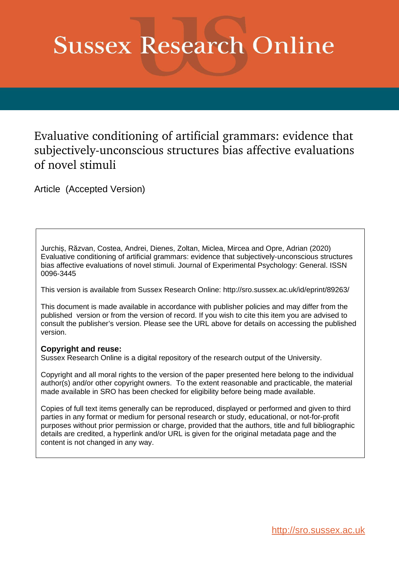# **Sussex Research Online**

# Evaluative conditioning of artificial grammars: evidence that subjectively-unconscious structures bias affective evaluations of novel stimuli

Article (Accepted Version)

Jurchiș, Răzvan, Costea, Andrei, Dienes, Zoltan, Miclea, Mircea and Opre, Adrian (2020) Evaluative conditioning of artificial grammars: evidence that subjectively-unconscious structures bias affective evaluations of novel stimuli. Journal of Experimental Psychology: General. ISSN 0096-3445

This version is available from Sussex Research Online: http://sro.sussex.ac.uk/id/eprint/89263/

This document is made available in accordance with publisher policies and may differ from the published version or from the version of record. If you wish to cite this item you are advised to consult the publisher's version. Please see the URL above for details on accessing the published version.

## **Copyright and reuse:**

Sussex Research Online is a digital repository of the research output of the University.

Copyright and all moral rights to the version of the paper presented here belong to the individual author(s) and/or other copyright owners. To the extent reasonable and practicable, the material made available in SRO has been checked for eligibility before being made available.

Copies of full text items generally can be reproduced, displayed or performed and given to third parties in any format or medium for personal research or study, educational, or not-for-profit purposes without prior permission or charge, provided that the authors, title and full bibliographic details are credited, a hyperlink and/or URL is given for the original metadata page and the content is not changed in any way.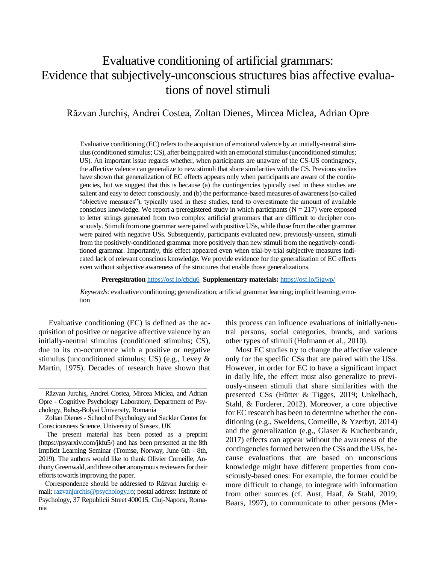# Evaluative conditioning of artificial grammars: Evidence that subjectively-unconscious structures bias affective evaluations of novel stimuli

### Răzvan Jurchiș, Andrei Costea, Zoltan Dienes, Mircea Miclea, Adrian Opre

Evaluative conditioning (EC) refers to the acquisition of emotional valence by an initially-neutral stimulus (conditioned stimulus;CS), after being paired with an emotional stimulus (unconditioned stimulus; US). An important issue regards whether, when participants are unaware of the CS-US contingency, the affective valence can generalize to new stimuli that share similarities with the CS. Previous studies have shown that generalization of EC effects appears only when participants are aware of the contingencies, but we suggest that this is because (a) the contingencies typically used in these studies are salient and easy to detect consciously, and (b) the performance-based measures of awareness (so-called "objective measures"), typically used in these studies, tend to overestimate the amount of available conscious knowledge. We report a preregistered study in which participants  $(N = 217)$  were exposed to letter strings generated from two complex artificial grammars that are difficult to decipher consciously. Stimuli from one grammar were paired with positive USs, while those from the other grammar were paired with negative USs. Subsequently, participants evaluated new, previously-unseen, stimuli from the positively-conditioned grammar more positively than new stimuli from the negatively-conditioned grammar. Importantly, this effect appeared even when trial-by-trial subjective measures indicated lack of relevant conscious knowledge. We provide evidence for the generalization of EC effects even without subjective awareness of the structures that enable those generalizations.

#### **Preregsitration** <https://osf.io/cbdu6> **Supplementary materials:** <https://osf.io/5jgwp/>

*Keywords:* evaluative conditioning; generalization; artificial grammar learning; implicit learning; emotion

Evaluative conditioning (EC) is defined as the acquisition of positive or negative affective valence by an initially-neutral stimulus (conditioned stimulus; CS), due to its co-occurrence with a positive or negative stimulus (unconditioned stimulus; US) (e.g., Levey & Martin, 1975). Decades of research have shown that

Correspondence should be addressed to Răzvan Jurchiș: email: [razvanjurchis@psychology.ro;](mailto:razvanjurchis@psychology.ro) postal address: Institute of Psychology, 37 Republicii Street 400015, Cluj-Napoca, Romania

this process can influence evaluations of initially-neutral persons, social categories, brands, and various other types of stimuli (Hofmann et al., 2010).

Most EC studies try to change the affective valence only for the specific CSs that are paired with the USs. However, in order for EC to have a significant impact in daily life, the effect must also generalize to previously-unseen stimuli that share similarities with the presented CSs (Hütter & Tigges, 2019; Unkelbach, Stahl, & Forderer, 2012). Moreover, a core objective for EC research has been to determine whether the conditioning (e.g., Sweldens, Corneille, & Yzerbyt, 2014) and the generalization (e.g., Glaser & Kuchenbrandr, 2017) effects can appear without the awareness of the contingencies formed between the CSs and the USs, because evaluations that are based on unconscious knowledge might have different properties from consciously-based ones: For example, the former could be more difficult to change, to integrate with information from other sources (cf. Aust, Haaf, & Stahl, 2019; Baars, 1997), to communicate to other persons (Mer-

Răzvan Jurchiș, Andrei Costea, Mircea Miclea, and Adrian Opre - Cognitive Psychology Laboratory, Department of Psychology, Babeș-Bolyai University, Romania

Zoltan Dienes - School of Psychology and Sackler Center for Consciousness Science, University of Sussex, UK

The present material has been posted as a preprint (https://psyarxiv.com/jkfu5/) and has been presented at the 8th Implicit Learning Seminar (Tromsø, Norway, June 6th - 8th, 2019). The authors would like to thank Olivier Corneille, Anthony Greenwald, and three other anonymous reviewers for their efforts towards improving the paper.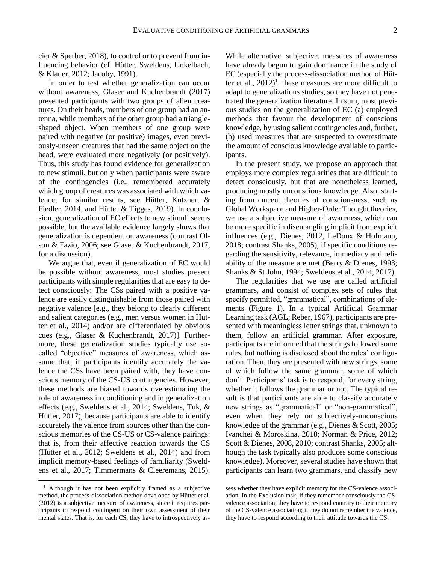cier & Sperber, 2018), to control or to prevent from influencing behavior (cf. Hütter, Sweldens, Unkelbach, & Klauer, 2012; Jacoby, 1991).

In order to test whether generalization can occur without awareness, Glaser and Kuchenbrandt (2017) presented participants with two groups of alien creatures. On their heads, members of one group had an antenna, while members of the other group had a triangleshaped object. When members of one group were paired with negative (or positive) images, even previously-unseen creatures that had the same object on the head, were evaluated more negatively (or positively). Thus, this study has found evidence for generalization to new stimuli, but only when participants were aware of the contingencies (i.e., remembered accurately which group of creatures was associated with which valence; for similar results, see Hütter, Kutzner, & Fiedler, 2014, and Hütter & Tigges, 2019). In conclusion, generalization of EC effects to new stimuli seems possible, but the available evidence largely shows that generalization is dependent on awareness (contrast Olson & Fazio, 2006; see Glaser & Kuchenbrandt, 2017, for a discussion).

We argue that, even if generalization of EC would be possible without awareness, most studies present participants with simple regularities that are easy to detect consciously: The CSs paired with a positive valence are easily distinguishable from those paired with negative valence [e.g., they belong to clearly different and salient categories (e.g., men versus women in Hütter et al., 2014) and/or are differentiated by obvious cues (e.g., Glaser & Kuchenbrandt, 2017)]. Furthermore, these generalization studies typically use socalled "objective" measures of awareness, which assume that, if participants identify accurately the valence the CSs have been paired with, they have conscious memory of the CS-US contingencies. However, these methods are biased towards overestimating the role of awareness in conditioning and in generalization effects (e.g., Sweldens et al., 2014; Sweldens, Tuk, & Hütter, 2017), because participants are able to identify accurately the valence from sources other than the conscious memories of the CS-US or CS-valence pairings: that is, from their affective reaction towards the CS (Hütter et al., 2012; Sweldens et al., 2014) and from implicit memory-based feelings of familiarity (Sweldens et al., 2017; Timmermans & Cleeremans, 2015).  $\overline{a}$ 

While alternative, subjective, measures of awareness have already begun to gain dominance in the study of EC (especially the process-dissociation method of Hütter et al.,  $2012$ <sup>1</sup>, these measures are more difficult to adapt to generalizations studies, so they have not penetrated the generalization literature. In sum, most previous studies on the generalization of EC (a) employed methods that favour the development of conscious knowledge, by using salient contingencies and, further, (b) used measures that are suspected to overestimate the amount of conscious knowledge available to participants.

In the present study, we propose an approach that employs more complex regularities that are difficult to detect consciously, but that are nonetheless learned, producing mostly unconscious knowledge. Also, starting from current theories of consciousness, such as Global Workspace and Higher-Order Thought theories, we use a subjective measure of awareness, which can be more specific in disentangling implicit from explicit influences (e.g., Dienes, 2012, LeDoux & Hofmann, 2018; contrast Shanks, 2005), if specific conditions regarding the sensitivity, relevance, immediacy and reliability of the measure are met (Berry & Dienes, 1993; Shanks & St John, 1994; Sweldens et al., 2014, 2017).

The regularities that we use are called artificial grammars, and consist of complex sets of rules that specify permitted, "grammatical", combinations of elements (Figure 1). In a typical Artificial Grammar Learning task (AGL; Reber, 1967), participants are presented with meaningless letter strings that, unknown to them, follow an artificial grammar. After exposure, participants are informed that the strings followed some rules, but nothing is disclosed about the rules' configuration. Then, they are presented with new strings, some of which follow the same grammar, some of which don't. Participants' task is to respond, for every string, whether it follows the grammar or not. The typical result is that participants are able to classify accurately new strings as "grammatical" or "non-grammatical", even when they rely on subjectively-unconscious knowledge of the grammar (e.g., Dienes & Scott, 2005; Ivanchei & Moroskina, 2018; Norman & Price, 2012; Scott & Dienes, 2008, 2010; contrast Shanks, 2005; although the task typically also produces some conscious knowledge). Moreover, several studies have shown that participants can learn two grammars, and classify new

<sup>&</sup>lt;sup>1</sup> Although it has not been explicitly framed as a subjective method, the process-dissociation method developed by Hütter et al. (2012) is a subjective measure of awareness, since it requires participants to respond contingent on their own assessment of their mental states. That is, for each CS, they have to introspectively as-

sess whether they have explicit memory for the CS-valence association. In the Exclusion task, if they remember consciously the CSvalence association, they have to respond contrary to their memory of the CS-valence association; if they do not remember the valence, they have to respond according to their attitude towards the CS.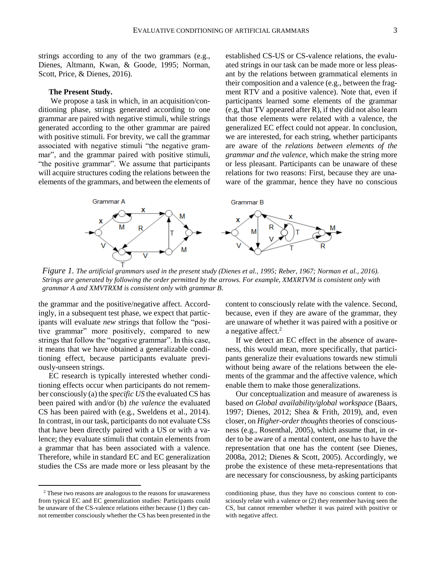strings according to any of the two grammars (e.g., Dienes, Altmann, Kwan, & Goode, 1995; Norman, Scott, Price, & Dienes, 2016).

#### **The Present Study.**

We propose a task in which, in an acquisition/conditioning phase, strings generated according to one grammar are paired with negative stimuli, while strings generated according to the other grammar are paired with positive stimuli. For brevity, we call the grammar associated with negative stimuli "the negative grammar", and the grammar paired with positive stimuli, "the positive grammar". We assume that participants will acquire structures coding the relations between the elements of the grammars, and between the elements of established CS-US or CS-valence relations, the evaluated strings in our task can be made more or less pleasant by the relations between grammatical elements in their composition and a valence (e.g., between the fragment RTV and a positive valence). Note that, even if participants learned some elements of the grammar (e.g, that TV appeared after R), if they did not also learn that those elements were related with a valence, the generalized EC effect could not appear. In conclusion, we are interested, for each string, whether participants are aware of the *relations between elements of the grammar and the valence*, which make the string more or less pleasant. Participants can be unaware of these relations for two reasons: First, because they are unaware of the grammar, hence they have no conscious



*Figure 1. The artificial grammars used in the present study (Dienes et al., 1995; Reber, 1967; Norman et al., 2016). Strings are generated by following the order permitted by the arrows. For example, XMXRTVM is consistent only with grammar A and XMVTRXM is consistent only with grammar B.* 

the grammar and the positive/negative affect. Accordingly, in a subsequent test phase, we expect that participants will evaluate *new* strings that follow the "positive grammar" more positively, compared to new strings that follow the "negative grammar". In this case, it means that we have obtained a generalizable conditioning effect, because participants evaluate previously-unseen strings.

EC research is typically interested whether conditioning effects occur when participants do not remember consciously (a) the *specific US* the evaluated CS has been paired with and/or (b) *the valence* the evaluated CS has been paired with (e.g., Sweldens et al., 2014). In contrast, in our task, participants do not evaluate CSs that have been directly paired with a US or with a valence; they evaluate stimuli that contain elements from a grammar that has been associated with a valence. Therefore, while in standard EC and EC generalization studies the CSs are made more or less pleasant by the

 $\overline{a}$ 

content to consciously relate with the valence. Second, because, even if they are aware of the grammar, they are unaware of whether it was paired with a positive or a negative affect.<sup>2</sup>

If we detect an EC effect in the absence of awareness, this would mean, more specifically, that participants generalize their evaluations towards new stimuli without being aware of the relations between the elements of the grammar and the affective valence, which enable them to make those generalizations.

Our conceptualization and measure of awareness is based *on Global availability/global workspace* (Baars, 1997; Dienes, 2012; Shea & Frith, 2019), and, even closer, on *Higher-order thoughts*theories of consciousness (e.g., Rosenthal, 2005), which assume that, in order to be aware of a mental content, one has to have the representation that one has the content (see Dienes, 2008a, 2012; Dienes & Scott, 2005). Accordingly, we probe the existence of these meta-representations that are necessary for consciousness, by asking participants

<sup>2</sup> These two reasons are analogous to the reasons for unawareness from typical EC and EC generalization studies: Participants could be unaware of the CS-valence relations either because (1) they cannot remember consciously whether the CS has been presented in the

conditioning phase, thus they have no conscious content to consciously relate with a valence or (2) they remember having seen the CS, but cannot remember whether it was paired with positive or with negative affect.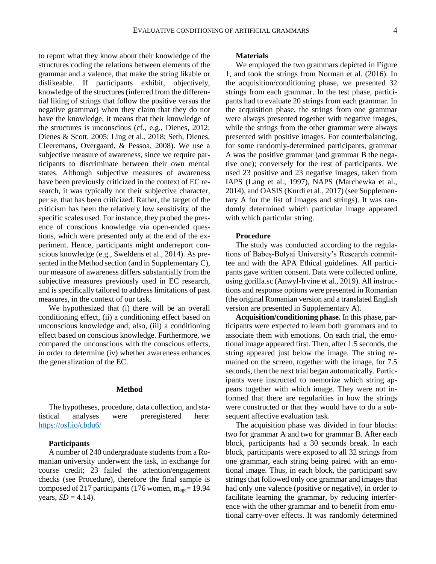to report what they know about their knowledge of the structures coding the relations between elements of the grammar and a valence, that make the string likable or dislikeable. If participants exhibit, objectively, knowledge of the structures (inferred from the differential liking of strings that follow the positive versus the negative grammar) when they claim that they do not have the knowledge, it means that their knowledge of the structures is unconscious (cf., e.g., Dienes, 2012; Dienes & Scott, 2005; Ling et al., 2018; Seth, Dienes, Cleeremans, Overgaard, & Pessoa, 2008). We use a subjective measure of awareness, since we require participants to discriminate between their own mental states. Although subjective measures of awareness have been previously criticized in the context of EC research, it was typically not their subjective character, per se, that has been criticized. Rather, the target of the criticism has been the relatively low sensitivity of the specific scales used. For instance, they probed the presence of conscious knowledge via open-ended questions, which were presented only at the end of the experiment. Hence, participants might underreport conscious knowledge (e.g., Sweldens et al., 2014). As presented in the Method section (and in Supplementary C), our measure of awareness differs substantially from the subjective measures previously used in EC research, and is specifically tailored to address limitations of past measures, in the context of our task.

We hypothesized that (i) there will be an overall conditioning effect, (ii) a conditioning effect based on unconscious knowledge and, also, (iii) a conditioning effect based on conscious knowledge. Furthermore, we compared the unconscious with the conscious effects, in order to determine (iv) whether awareness enhances the generalization of the EC.

#### **Method**

The hypotheses, procedure, data collection, and statistical analyses were preregistered here: <https://osf.io/cbdu6/>

#### **Participants**

A number of 240 undergraduate students from a Romanian university underwent the task, in exchange for course credit; 23 failed the attention/engagement checks (see Procedure), therefore the final sample is composed of 217 participants (176 women,  $m_{\text{age}}$ = 19.94 years,  $SD = 4.14$ ).

#### **Materials**

We employed the two grammars depicted in Figure 1, and took the strings from Norman et al. (2016). In the acquisition/conditioning phase, we presented 32 strings from each grammar. In the test phase, participants had to evaluate 20 strings from each grammar. In the acquisition phase, the strings from one grammar were always presented together with negative images, while the strings from the other grammar were always presented with positive images. For counterbalancing, for some randomly-determined participants, grammar A was the positive grammar (and grammar B the negative one); conversely for the rest of participants. We used 23 positive and 23 negative images, taken from IAPS (Lang et al., 1997), NAPS (Marchewka et al., 2014), and OASIS (Kurdi et al., 2017) (see Supplementary A for the list of images and strings). It was randomly determined which particular image appeared with which particular string.

#### **Procedure**

The study was conducted according to the regulations of Babeș-Bolyai University's Research committee and with the APA Ethical guidelines. All participants gave written consent. Data were collected online, using gorilla.sc (Anwyl-Irvine et al., 2019). All instructions and response options were presented in Romanian (the original Romanian version and a translated English version are presented in Supplementary A).

**Acquisition/conditioning phase.** In this phase, participants were expected to learn both grammars and to associate them with emotions. On each trial, the emotional image appeared first. Then, after 1.5 seconds, the string appeared just below the image. The string remained on the screen, together with the image, for 7.5 seconds, then the next trial began automatically. Participants were instructed to memorize which string appears together with which image. They were not informed that there are regularities in how the strings were constructed or that they would have to do a subsequent affective evaluation task.

The acquisition phase was divided in four blocks: two for grammar A and two for grammar B. After each block, participants had a 30 seconds break. In each block, participants were exposed to all 32 strings from one grammar, each string being paired with an emotional image. Thus, in each block, the participant saw strings that followed only one grammar and images that had only one valence (positive or negative), in order to facilitate learning the grammar, by reducing interference with the other grammar and to benefit from emotional carry-over effects. It was randomly determined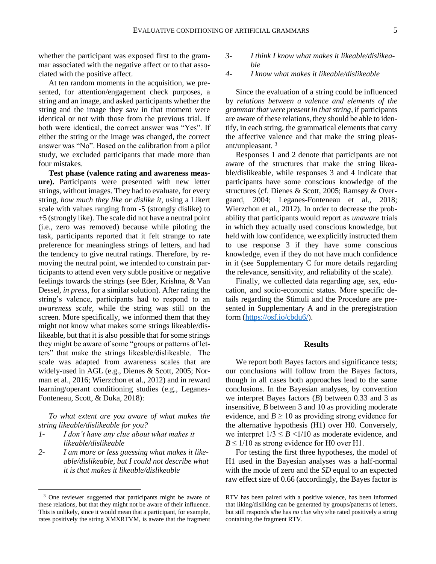whether the participant was exposed first to the grammar associated with the negative affect or to that associated with the positive affect.

At ten random moments in the acquisition, we presented, for attention/engagement check purposes, a string and an image, and asked participants whether the string and the image they saw in that moment were identical or not with those from the previous trial. If both were identical, the correct answer was "Yes". If either the string or the image was changed, the correct answer was "No". Based on the calibration from a pilot study, we excluded participants that made more than four mistakes.

**Test phase (valence rating and awareness measure).** Participants were presented with new letter strings, without images. They had to evaluate, for every string, *how much they like or dislike it,* using a Likert scale with values ranging from -5 (strongly dislike) to +5 (strongly like). The scale did not have a neutral point (i.e., zero was removed) because while piloting the task, participants reported that it felt strange to rate preference for meaningless strings of letters, and had the tendency to give neutral ratings. Therefore, by removing the neutral point, we intended to constrain participants to attend even very subtle positive or negative feelings towards the strings (see Eder, Krishna, & Van Dessel, *in press*, for a similar solution). After rating the string's valence, participants had to respond to an *awareness scale,* while the string was still on the screen*.* More specifically, we informed them that they might not know what makes some strings likeable/dislikeable, but that it is also possible that for some strings they might be aware of some "groups or patterns of letters" that make the strings likeable/dislikeable. The scale was adapted from awareness scales that are widely-used in AGL (e.g., Dienes & Scott, 2005; Norman et al., 2016; Wierzchon et al., 2012) and in reward learning/operant conditioning studies (e.g., Leganes-Fonteneau, Scott, & Duka, 2018):

*To what extent are you aware of what makes the string likeable/dislikeable for you?* 

*1- I don't have any clue about what makes it likeable/dislikeable* 

 $\overline{a}$ 

*2- I am more or less guessing what makes it likeable/dislikeable, but I could not describe what it is that makes it likeable/dislikeable*

- *3- I think I know what makes it likeable/dislikeable*
- *4- I know what makes it likeable/dislikeable*

Since the evaluation of a string could be influenced by *relations between a valence and elements of the grammar that were present in that string*, if participants are aware of these relations, they should be able to identify, in each string, the grammatical elements that carry the affective valence and that make the string pleasant/unpleasant. <sup>3</sup>

Responses 1 and 2 denote that participants are not aware of the structures that make the string likeable/dislikeable, while responses 3 and 4 indicate that participants have some conscious knowledge of the structures (cf. Dienes & Scott, 2005; Ramsøy & Overgaard, 2004; Leganes-Fonteneau et al., 2018; Wierzchon et al., 2012). In order to decrease the probability that participants would report as *unaware* trials in which they actually used conscious knowledge, but held with low confidence, we explicitly instructed them to use response 3 if they have some conscious knowledge, even if they do not have much confidence in it (see Supplementary C for more details regarding the relevance, sensitivity, and reliability of the scale).

Finally, we collected data regarding age, sex, education, and socio-economic status. More specific details regarding the Stimuli and the Procedure are presented in Supplementary A and in the preregistration form [\(https://osf.io/cbdu6/\)](https://osf.io/cbdu6/).

#### **Results**

We report both Bayes factors and significance tests; our conclusions will follow from the Bayes factors, though in all cases both approaches lead to the same conclusions. In the Bayesian analyses, by convention we interpret Bayes factors (*B*) between 0.33 and 3 as insensitive, *B* between 3 and 10 as providing moderate evidence, and  $B \ge 10$  as providing strong evidence for the alternative hypothesis (H1) over H0. Conversely, we interpret  $1/3 \leq B \leq 1/10$  as moderate evidence, and  $B \leq 1/10$  as strong evidence for H0 over H1.

For testing the first three hypotheses, the model of H1 used in the Bayesian analyses was a half-normal with the mode of zero and the *SD* equal to an expected raw effect size of 0.66 (accordingly, the Bayes factor is

<sup>&</sup>lt;sup>3</sup> One reviewer suggested that participants might be aware of these relations, but that they might not be aware of their influence. This is unlikely, since it would mean that a participant, for example, rates positively the string XMXRTVM, is aware that the fragment

RTV has been paired with a positive valence, has been informed that liking/disliking can be generated by groups/patterns of letters, but still responds s/he has *no clue* why s/he rated positively a string containing the fragment RTV.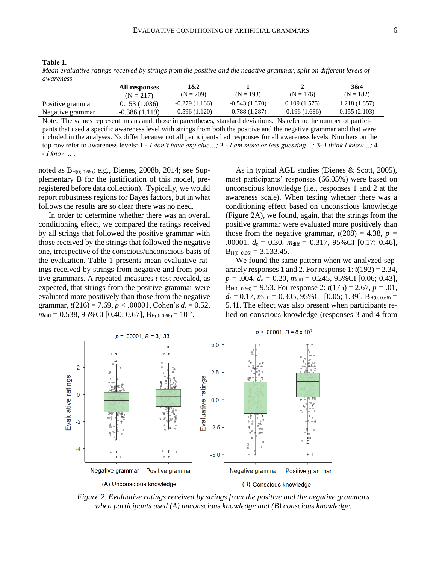| anı<br>۱e |  |
|-----------|--|
|-----------|--|

*Mean evaluative ratings received by strings from the positive and the negative grammar, split on different levels of awareness*

|                  | All responses<br>$(N = 217)$ | 1&2<br>$(N = 209)$ | $(N = 193)$     | $(N = 176)$     | 3&4<br>$(N = 182)$ |
|------------------|------------------------------|--------------------|-----------------|-----------------|--------------------|
| Positive grammar | 0.153(1.036)                 | $-0.279(1.166)$    | $-0.543(1.370)$ | 0.109(1.575)    | 1.218 (1.857)      |
| Negative grammar | $-0.386(1.119)$              | $-0.596(1.120)$    | $-0.788(1.287)$ | $-0.196(1.686)$ | 0.155(2.103)       |

Note. The values represent means and, those in parentheses, standard deviations. Ns refer to the number of participants that used a specific awareness level with strings from both the positive and the negative grammar and that were included in the analyses. Ns differ because not all participants had responses for all awareness levels. Numbers on the top row refer to awareness levels: **1 -** *I don't have any clue…;* **2** - *I am more or less guessing…;* **3***- I think I know…;* **4 -** *I know… .* 

noted as  $B_{H(0; 0.66)}$ ; e.g., Dienes, 2008b, 2014; see Supplementary B for the justification of this model, preregistered before data collection). Typically, we would report robustness regions for Bayes factors, but in what follows the results are so clear there was no need.

In order to determine whether there was an overall conditioning effect, we compared the ratings received by all strings that followed the positive grammar with those received by the strings that followed the negative one, irrespective of the conscious/unconscious basis of the evaluation. Table 1 presents mean evaluative ratings received by strings from negative and from positive grammars. A repeated-measures *t*-test revealed, as expected, that strings from the positive grammar were evaluated more positively than those from the negative grammar,  $t(216) = 7.69$ ,  $p < .00001$ , Cohen's  $d_z = 0.52$ ,  $m_{\text{diff}} = 0.538, 95\% \text{CI} [0.40; 0.67], B_{\text{H}(0; 0.66)} = 10^{12}.$ 

As in typical AGL studies (Dienes & Scott, 2005), most participants' responses (66.05%) were based on unconscious knowledge (i.e., responses 1 and 2 at the awareness scale). When testing whether there was a conditioning effect based on unconscious knowledge (Figure 2A), we found, again, that the strings from the positive grammar were evaluated more positively than those from the negative grammar,  $t(208) = 4.38$ ,  $p =$ .00001, *d<sup>z</sup>* = 0.30, *m*diff *=* 0.317*,* 95%CI [0.17; 0.46],  $B_{H(0; 0.66)} = 3,133.45.$ 

We found the same pattern when we analyzed separately responses 1 and 2. For response 1:  $t(192) = 2.34$ , *p =* .004, *d<sup>z</sup> =* 0.20, *m*diff *=* 0.245*,* 95%CI [0.06; 0.43],  $B_{H(0; 0.66)} = 9.53$ . For response 2:  $t(175) = 2.67$ ,  $p = .01$ ,  $d_z = 0.17$ ,  $m_{\text{diff}} = 0.305$ , 95%CI [0.05; 1.39],  $B_{H(0; 0.66)} =$ 5.41. The effect was also present when participants relied on conscious knowledge (responses 3 and 4 from



*Figure 2. Evaluative ratings received by strings from the positive and the negative grammars when participants used (A) unconscious knowledge and (B) conscious knowledge.*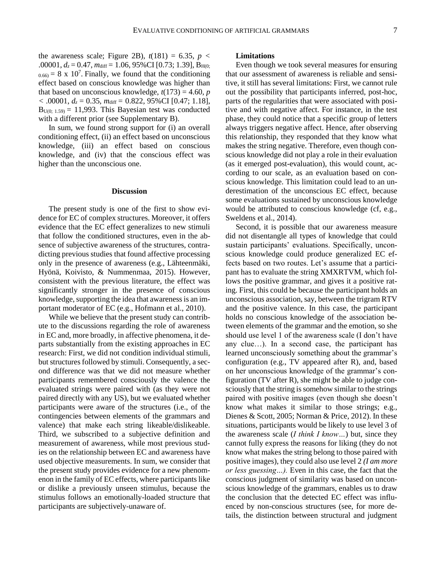the awareness scale; Figure 2B),  $t(181) = 6.35$ ,  $p <$ .00001,  $d_z = 0.47$ ,  $m_{\text{diff}} = 1.06$ , 95%CI [0.73; 1.39],  $B_{\text{H}(0)}$ ;  $_{0.66)}$  = 8 x 10<sup>7</sup>. Finally, we found that the conditioning effect based on conscious knowledge was higher than that based on unconscious knowledge,  $t(173) = 4.60$ , *p <* .00001, *d<sup>z</sup>* = 0.35, *m*diff*=* 0.822*,* 95%CI [0.47; 1.18],  $B<sub>U(0; 1.59)</sub> = 11,993$ . This Bayesian test was conducted with a different prior (see Supplementary B).

In sum, we found strong support for (i) an overall conditioning effect, (ii) an effect based on unconscious knowledge, (iii) an effect based on conscious knowledge, and (iv) that the conscious effect was higher than the unconscious one.

#### **Discussion**

The present study is one of the first to show evidence for EC of complex structures. Moreover, it offers evidence that the EC effect generalizes to new stimuli that follow the conditioned structures, even in the absence of subjective awareness of the structures, contradicting previous studies that found affective processing only in the presence of awareness (e.g., Lähteenmäki, Hyönä, Koivisto, & Nummenmaa, 2015). However, consistent with the previous literature, the effect was significantly stronger in the presence of conscious knowledge, supporting the idea that awareness is an important moderator of EC (e.g., Hofmann et al., 2010).

While we believe that the present study can contribute to the discussions regarding the role of awareness in EC and, more broadly, in affective phenomena, it departs substantially from the existing approaches in EC research: First, we did not condition individual stimuli, but structures followed by stimuli. Consequently, a second difference was that we did not measure whether participants remembered consciously the valence the evaluated strings were paired with (as they were not paired directly with any US), but we evaluated whether participants were aware of the structures (i.e., of the contingencies between elements of the grammars and valence) that make each string likeable/dislikeable. Third, we subscribed to a subjective definition and measurement of awareness, while most previous studies on the relationship between EC and awareness have used objective measurements. In sum, we consider that the present study provides evidence for a new phenomenon in the family of EC effects, where participants like or dislike a previously unseen stimulus, because the stimulus follows an emotionally-loaded structure that participants are subjectively-unaware of.

#### **Limitations**

Even though we took several measures for ensuring that our assessment of awareness is reliable and sensitive, it still has several limitations: First, we cannot rule out the possibility that participants inferred, post-hoc, parts of the regularities that were associated with positive and with negative affect. For instance, in the test phase, they could notice that a specific group of letters always triggers negative affect. Hence, after observing this relationship, they responded that they know what makes the string negative. Therefore, even though conscious knowledge did not play a role in their evaluation (as it emerged post-evaluation), this would count, according to our scale, as an evaluation based on conscious knowledge. This limitation could lead to an underestimation of the unconscious EC effect, because some evaluations sustained by unconscious knowledge would be attributed to conscious knowledge (cf, e.g., Sweldens et al., 2014).

Second, it is possible that our awareness measure did not disentangle all types of knowledge that could sustain participants' evaluations. Specifically, unconscious knowledge could produce generalized EC effects based on two routes. Let's assume that a participant has to evaluate the string XMXRTVM, which follows the positive grammar, and gives it a positive rating. First, this could be because the participant holds an unconscious association, say, between the trigram RTV and the positive valence. In this case, the participant holds no conscious knowledge of the association between elements of the grammar and the emotion, so she should use level 1 of the awareness scale (I don't have any clue…). In a second case, the participant has learned unconsciously something about the grammar's configuration (e.g., TV appeared after R), and, based on her unconscious knowledge of the grammar's configuration (TV after R), she might be able to judge consciously that the string is somehow similar to the strings paired with positive images (even though she doesn't know what makes it similar to those strings; e.g., Dienes & Scott, 2005; Norman & Price, 2012). In these situations, participants would be likely to use level 3 of the awareness scale (*I think I know…*) but, since they cannot fully express the reasons for liking (they do not know what makes the string belong to those paired with positive images), they could also use level 2 *(I am more or less guessing…).* Even in this case, the fact that the conscious judgment of similarity was based on unconscious knowledge of the grammars, enables us to draw the conclusion that the detected EC effect was influenced by non-conscious structures (see, for more details, the distinction between structural and judgment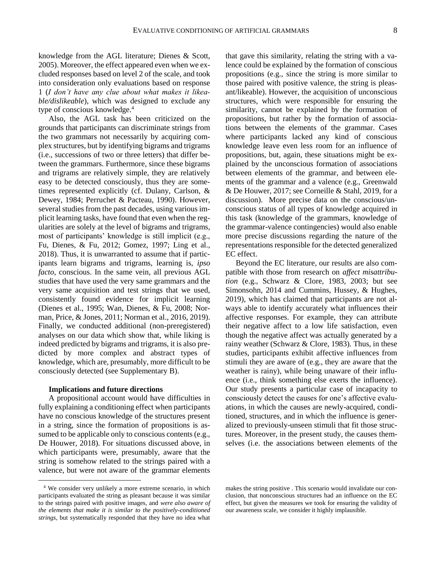knowledge from the AGL literature; Dienes & Scott, 2005). Moreover, the effect appeared even when we excluded responses based on level 2 of the scale, and took into consideration only evaluations based on response 1 (*I don't have any clue about what makes it likeable/dislikeable*), which was designed to exclude any type of conscious knowledge.<sup>4</sup>

Also, the AGL task has been criticized on the grounds that participants can discriminate strings from the two grammars not necessarily by acquiring complex structures, but by identifying bigrams and trigrams (i.e., successions of two or three letters) that differ between the grammars. Furthermore, since these bigrams and trigrams are relatively simple, they are relatively easy to be detected consciously, thus they are sometimes represented explicitly (cf. Dulany, Carlson, & Dewey, 1984; Perruchet & Pacteau, 1990). However, several studies from the past decades, using various implicit learning tasks, have found that even when the regularities are solely at the level of bigrams and trigrams, most of participants' knowledge is still implicit (e.g., Fu, Dienes, & Fu, 2012; Gomez, 1997; Ling et al., 2018). Thus, it is unwarranted to assume that if participants learn bigrams and trigrams, learning is, *ipso facto*, conscious. In the same vein, all previous AGL studies that have used the very same grammars and the very same acquisition and test strings that we used, consistently found evidence for implicit learning (Dienes et al., 1995; Wan, Dienes, & Fu, 2008; Norman, Price, & Jones, 2011; Norman et al., 2016, 2019). Finally, we conducted additional (non-preregistered) analyses on our data which show that, while liking is indeed predicted by bigrams and trigrams, it is also predicted by more complex and abstract types of knowledge, which are, presumably, more difficult to be consciously detected (see Supplementary B).

#### **Implications and future directions**

 $\overline{a}$ 

A propositional account would have difficulties in fully explaining a conditioning effect when participants have no conscious knowledge of the structures present in a string, since the formation of propositions is assumed to be applicable only to conscious contents (e.g., De Houwer, 2018). For situations discussed above, in which participants were, presumably, aware that the string is somehow related to the strings paired with a valence, but were not aware of the grammar elements that gave this similarity, relating the string with a valence could be explained by the formation of conscious propositions (e.g., since the string is more similar to those paired with positive valence, the string is pleasant/likeable). However, the acquisition of unconscious structures, which were responsible for ensuring the similarity, cannot be explained by the formation of propositions, but rather by the formation of associations between the elements of the grammar. Cases where participants lacked any kind of conscious knowledge leave even less room for an influence of propositions, but, again, these situations might be explained by the unconscious formation of associations between elements of the grammar, and between elements of the grammar and a valence (e.g., Greenwald & De Houwer, 2017; see Corneille & Stahl, 2019, for a discussion). More precise data on the conscious/unconscious status of all types of knowledge acquired in this task (knowledge of the grammars, knowledge of the grammar-valence contingencies) would also enable more precise discussions regarding the nature of the representations responsible for the detected generalized EC effect.

Beyond the EC literature, our results are also compatible with those from research on *affect misattribution* (e.g., Schwarz & Clore, 1983, 2003; but see Simonsohn, 2014 and Cummins, Hussey, & Hughes, 2019), which has claimed that participants are not always able to identify accurately what influences their affective responses. For example, they can attribute their negative affect to a low life satisfaction, even though the negative affect was actually generated by a rainy weather (Schwarz & Clore, 1983). Thus, in these studies, participants exhibit affective influences from stimuli they are aware of (e.g., they are aware that the weather is rainy), while being unaware of their influence (i.e., think something else exerts the influence). Our study presents a particular case of incapacity to consciously detect the causes for one's affective evaluations, in which the causes are newly-acquired, conditioned, structures, and in which the influence is generalized to previously-unseen stimuli that fit those structures. Moreover, in the present study, the causes themselves (i.e. the associations between elements of the

<sup>4</sup> We consider very unlikely a more extreme scenario, in which participants evaluated the string as pleasant because it was similar to the strings paired with positive images, and *were also aware of the elements that make it is similar to the positively-conditioned strings*, but systematically responded that they have no idea what

makes the string positive . This scenario would invalidate our conclusion, that nonconscious structures had an influence on the EC effect, but given the measures we took for ensuring the validity of our awareness scale, we consider it highly implausible.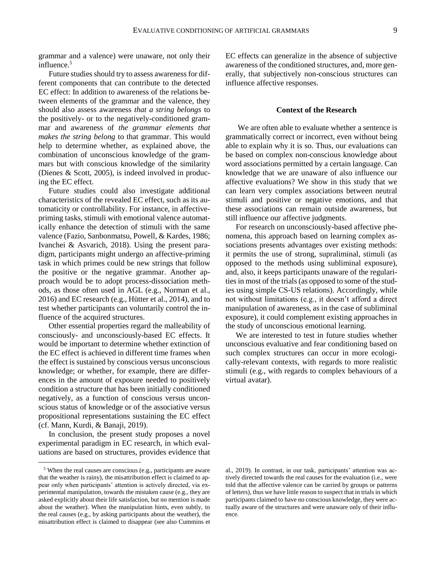grammar and a valence) were unaware, not only their influence.<sup>5</sup>

Future studies should try to assess awareness for different components that can contribute to the detected EC effect: In addition to awareness of the relations between elements of the grammar and the valence, they should also assess awareness *that a string belongs* to the positively- or to the negatively-conditioned grammar and awareness of *the grammar elements that makes the string belong* to that grammar. This would help to determine whether, as explained above, the combination of unconscious knowledge of the grammars but with conscious knowledge of the similarity (Dienes & Scott, 2005), is indeed involved in producing the EC effect.

Future studies could also investigate additional characteristics of the revealed EC effect, such as its automaticity or controllability. For instance, in affectivepriming tasks, stimuli with emotional valence automatically enhance the detection of stimuli with the same valence (Fazio, Sanbonmatsu, Powell, & Kardes, 1986; Ivanchei & Asvarich, 2018). Using the present paradigm, participants might undergo an affective-priming task in which primes could be new strings that follow the positive or the negative grammar. Another approach would be to adopt process-dissociation methods, as those often used in AGL (e.g., Norman et al., 2016) and EC research (e.g., Hütter et al., 2014), and to test whether participants can voluntarily control the influence of the acquired structures.

Other essential properties regard the malleability of consciously- and unconsciously-based EC effects. It would be important to determine whether extinction of the EC effect is achieved in different time frames when the effect is sustained by conscious versus unconscious knowledge; or whether, for example, there are differences in the amount of exposure needed to positively condition a structure that has been initially conditioned negatively, as a function of conscious versus unconscious status of knowledge or of the associative versus propositional representations sustaining the EC effect (cf. Mann, Kurdi, & Banaji, 2019).

In conclusion, the present study proposes a novel experimental paradigm in EC research, in which evaluations are based on structures, provides evidence that

 $\overline{a}$ 

EC effects can generalize in the absence of subjective awareness of the conditioned structures, and, more generally, that subjectively non-conscious structures can influence affective responses.

#### **Context of the Research**

We are often able to evaluate whether a sentence is grammatically correct or incorrect, even without being able to explain why it is so. Thus, our evaluations can be based on complex non-conscious knowledge about word associations permitted by a certain language. Can knowledge that we are unaware of also influence our affective evaluations? We show in this study that we can learn very complex associations between neutral stimuli and positive or negative emotions, and that these associations can remain outside awareness, but still influence our affective judgments.

For research on unconsciously-based affective phenomena, this approach based on learning complex associations presents advantages over existing methods: it permits the use of strong, supraliminal, stimuli (as opposed to the methods using subliminal exposure), and, also, it keeps participants unaware of the regularities in most of the trials (as opposed to some of the studies using simple CS-US relations). Accordingly, while not without limitations (e.g., it doesn't afford a direct manipulation of awareness, as in the case of subliminal exposure), it could complement existing approaches in the study of unconscious emotional learning.

We are interested to test in future studies whether unconscious evaluative and fear conditioning based on such complex structures can occur in more ecologically-relevant contexts, with regards to more realistic stimuli (e.g., with regards to complex behaviours of a virtual avatar).

<sup>5</sup> When the real causes are conscious (e.g., participants are aware that the weather is rainy), the misattribution effect is claimed to appear only when participants' attention is actively directed, via experimental manipulation, towards the mistaken cause (e.g., they are asked explicitly about their life satisfaction, but no mention is made about the weather). When the manipulation hints, even subtly, to the real causes (e.g., by asking participants about the weather), the misattribution effect is claimed to disappear (see also Cummins et

al., 2019). In contrast, in our task, participants' attention was actively directed towards the real causes for the evaluation (i.e., were told that the affective valence can be carried by groups or patterns of letters), thus we have little reason to suspect that in trials in which participants claimed to have no conscious knowledge, they were actually aware of the structures and were unaware only of their influence.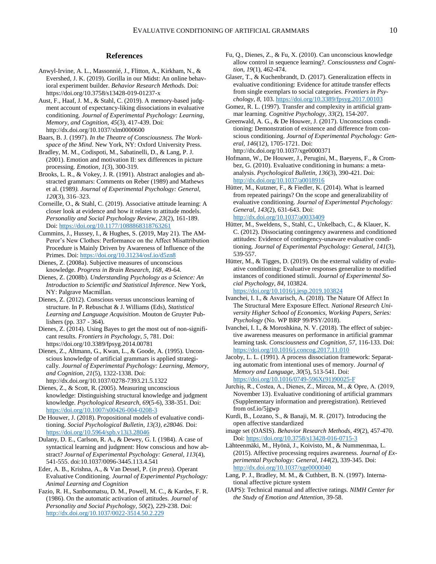#### **References**

- Anwyl-Irvine, A. L., Massonnié, J., Flitton, A., Kirkham, N., & Evershed, J. K. (2019). Gorilla in our Midst: An online behavioral experiment builder. *Behavior Research Methods.* Doi: https://doi.org/10.3758/s13428-019-01237-x
- Aust, F., Haaf, J. M., & Stahl, C. (2019). A memory-based judgment account of expectancy-liking dissociations in evaluative conditioning. *Journal of Experimental Psychology: Learning, Memory, and Cognition, 45*(3), 417-439. Doi: http://dx.doi.org/10.1037/xlm0000600
- Baars, B. J. (1997). *In the Theatre of Consciousness. The Workspace of the Mind*. New York, NY: Oxford University Press.
- Bradley, M. M., Codispoti, M., Sabatinelli, D., & Lang, P. J. (2001). Emotion and motivation II: sex differences in picture processing. *Emotion, 1*(3), 300-319.
- Brooks, L. R., & Vokey, J. R. (1991). Abstract analogies and abstracted grammars: Comments on Reber (1989) and Mathews et al. (1989*). Journal of Experimental Psychology: General, 120*(3), 316–323.
- Corneille, O., & Stahl, C. (2019). Associative attitude learning: A closer look at evidence and how it relates to attitude models. *Personality and Social Psychology Review, 23*(2), 161-189. Doi:<https://doi.org/10.1177/1088868318763261>
- Cummins, J., Hussey, I., & Hughes, S. (2019, May 21). The AM-Peror's New Clothes: Performance on the Affect Misattribution Procedure is Mainly Driven by Awareness of Influence of the Primes. Doi[: https://doi.org/10.31234/osf.io/d5zn8](https://doi.org/10.31234/osf.io/d5zn8)
- Dienes, Z. (2008a). Subjective measures of unconscious knowledge. *Progress in Brain Research, 168*, 49-64.
- Dienes, Z. (2008b). *Understanding Psychology as a Science: An Introduction to Scientific and Statistical Inference*. New York, NY: Palgrave Macmillan.
- Dienes, Z. (2012). Conscious versus unconscious learning of structure. In P. Rebuschat & J. Williams (Eds), *Statistical Learning and Language Acquisition*. Mouton de Gruyter Publishers (pp. 337 - 364).
- Dienes, Z. (2014). Using Bayes to get the most out of non-significant results. *Frontiers in Psychology*, *5*, 781. Doi: https://doi.org/10.3389/fpsyg.2014.00781
- Dienes, Z., Altmann, G., Kwan, L., & Goode, A. (1995). Unconscious knowledge of artificial grammars is applied strategically. *Journal of Experimental Psychology: Learning, Memory, and Cognition*, *21*(5), 1322-1338. Doi:
	- http://dx.doi.org/10.1037/0278-7393.21.5.1322
- Dienes, Z., & Scott, R. (2005). Measuring unconscious knowledge: Distinguishing structural knowledge and judgment knowledge. *Psychological Research*, *69*(5-6), 338-351. Doi: <https://doi.org/10.1007/s00426-004-0208-3>
- De Houwer, J. (2018). Propositional models of evaluative conditioning. *Social Psychological Bulletin, 13(3), e28046.* Doi: <https://doi.org/10.5964/spb.v13i3.28046>
- Dulany, D. E., Carlson, R. A., & Dewey, G. I. (1984). A case of syntactical learning and judgment: How conscious and how abstract? *Journal of Experimental Psychology: General, 113*(4), 541-555. doi:10.1037/0096-3445.113.4.541
- Eder, A. B., Krishna, A., & Van Dessel, P. (*in press*). Operant Evaluative Conditioning. *Journal of Experimental Psychology: Animal Learning and Cognition*
- Fazio, R. H., Sanbonmatsu, D. M., Powell, M. C., & Kardes, F. R. (1986). On the automatic activation of attitudes. *Journal of Personality and Social Psychology*, *50*(2), 229-238. Doi: <http://dx.doi.org/10.1037/0022-3514.50.2.229>
- Fu, Q., Dienes, Z., & Fu, X. (2010). Can unconscious knowledge allow control in sequence learning?. *Consciousness and Cognition, 19*(1), 462-474.
- Glaser, T., & Kuchenbrandt, D. (2017). Generalization effects in evaluative conditioning: Evidence for attitude transfer effects from single exemplars to social categories. *Frontiers in Psychology*, *8*, 103[. https://doi.org/10.3389/fpsyg.2017.00103](https://doi.org/10.3389/fpsyg.2017.00103)
- Gomez, R. L. (1997). Transfer and complexity in artificial grammar learning. *Cognitive Psychology, 33*(2), 154-207.
- Greenwald, A. G., & De Houwer, J. (2017). Unconscious conditioning: Demonstration of existence and difference from conscious conditioning. *Journal of Experimental Psychology: General, 146*(12), 1705-1721. Doi: http://dx.doi.org/10.1037/xge0000371
- Hofmann, W., De Houwer, J., Perugini, M., Baeyens, F., & Crombez, G. (2010). Evaluative conditioning in humans: a metaanalysis. *Psychological Bulletin*, *136*(3), 390-421. Doi: <http://dx.doi.org/10.1037/a0018916>
- Hütter, M., Kutzner, F., & Fiedler, K. (2014). What is learned from repeated pairings? On the scope and generalizability of evaluative conditioning. *Journal of Experimental Psychology: General*, *143*(2), 631-643. Doi: <http://dx.doi.org/10.1037/a0033409>
- Hütter, M., Sweldens, S., Stahl, C., Unkelbach, C., & Klauer, K. C. (2012). Dissociating contingency awareness and conditioned attitudes: Evidence of contingency-unaware evaluative conditioning. *Journal of Experimental Psychology: General*, *141*(3), 539-557.
- Hütter, M., & Tigges, D. (2019). On the external validity of evaluative conditioning: Evaluative responses generalize to modified instances of conditioned stimuli. *Journal of Experimental Social Psychology*, *84*, 103824. <https://doi.org/10.1016/j.jesp.2019.103824>
- Ivanchei, I. I., & Asvarisch, A. (2018). The Nature Of Affect In The Structural Mere Exposure Effect*. National Research University Higher School of Economics, Working Papers, Series: Psychology* (No. WP BRP 99/PSY/2018).
- Ivanchei, I. I., & Moroshkina, N. V. (2018). The effect of subjective awareness measures on performance in artificial grammar learning task. *Consciousness and Cognition, 57*, 116-133. Doi: <https://doi.org/10.1016/j.concog.2017.11.010>
- Jacoby, L. L. (1991). A process dissociation framework: Separating automatic from intentional uses of memory. *Journal of Memory and Language, 30*(5), 513-541. Doi: [https://doi.org/10.1016/0749-596X\(91\)90025-F](https://doi.org/10.1016/0749-596X(91)90025-F)
- Jurchiș, R., Costea, A., Dienes, Z., Mircea, M., & Opre, A. (2019, November 13). Evaluative conditioning of artificial grammars (Supplementary information and preregistration). Retrieved from osf.io/5jgwp
- Kurdi, B., Lozano, S., & Banaji, M. R. (2017). Introducing the open affective standardized
- image set (OASIS). *Behavior Research Methods*, *49*(2), 457-470. Doi:<https://doi.org/10.3758/s13428-016-0715-3>
- Lähteenmäki, M., Hyönä, J., Koivisto, M., & Nummenmaa, L. (2015). Affective processing requires awareness. *Journal of Experimental Psychology: General*, *144*(2), 339-345. Doi: <http://dx.doi.org/10.1037/xge0000040>
- Lang, P. J., Bradley, M. M., & Cuthbert, B. N. (1997). International affective picture system
- (IAPS): Technical manual and affective ratings. *NIMH Center for the Study of Emotion and Attention*, 39-58.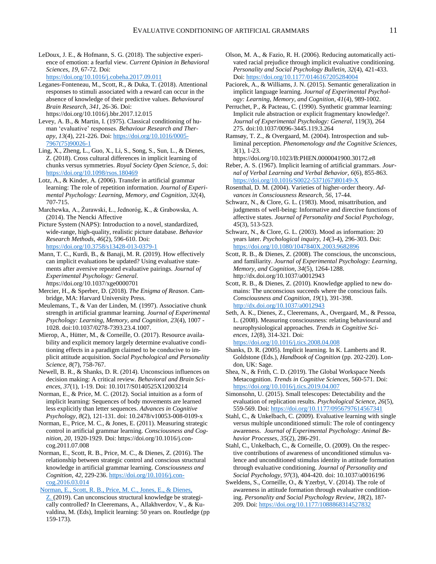LeDoux, J. E., & Hofmann, S. G. (2018). The subjective experience of emotion: a fearful view. *Current Opinion in Behavioral Sciences, 19*, 67-72. Doi: <https://doi.org/10.1016/j.cobeha.2017.09.011>

Leganes-Fonteneau, M., Scott, R., & Duka, T. (2018). Attentional responses to stimuli associated with a reward can occur in the absence of knowledge of their predictive values. *Behavioural Brain Research, 341*, 26-36. Doi: https://doi.org/10.1016/j.bbr.2017.12.015

Levey, A. B., & Martin, I. (1975). Classical conditioning of human 'evaluative' responses. *Behaviour Research and Therapy*, *13*(4), 221-226. Doi: [https://doi.org/10.1016/0005-](https://doi.org/10.1016/0005-7967(75)90026-1) [7967\(75\)90026-1](https://doi.org/10.1016/0005-7967(75)90026-1)

Ling, X., Zheng, L., Guo, X., Li, S., Song, S., Sun, L., & Dienes, Z. (2018). Cross cultural differences in implicit learning of chunks versus symmetries. *Royal Society Open Science, 5*, doi: <https://doi.org/10.1098/rsos.180469>

Lotz, A., & Kinder, A. (2006). Transfer in artificial grammar learning: The role of repetition information*. Journal of Experimental Psychology: Learning, Memory, and Cognition, 32*(4), 707-715.

Marchewka, A., Żurawski, Ł., Jednoróg, K., & Grabowska, A. (2014). The Nencki Affective

Picture System (NAPS): Introduction to a novel, standardized, wide-range, high-quality, realistic picture database. *Behavior Research Methods*, *46*(2), 596-610. Doi: <https://doi.org/10.3758/s13428-013-0379-1>

Mann, T. C., Kurdi, B., & Banaji, M. R. (2019). How effectively can implicit evaluations be updated? Using evaluative statements after aversive repeated evaluative pairings. *Journal of Experimental Psychology: General. h*ttps://doi.org/10.1037/xge0000701

Mercier, H., & Sperber, D. (2018). *The Enigma of Reason*. Cambridge, MA: Harvard University Press.

Meulemans, T., & Van der Linden, M. (1997). Associative chunk strength in artificial grammar learning. *Journal of Experimental Psychology: Learning, Memory, and Cognition, 23*(4), 1007 - 1028. doi:10.1037/0278-7393.23.4.1007.

Mierop, A., Hütter, M., & Corneille, O. (2017). Resource availability and explicit memory largely determine evaluative conditioning effects in a paradigm claimed to be conducive to implicit attitude acquisition. *Social Psychological and Personality Science, 8*(7), 758-767.

Newell, B. R., & Shanks, D. R. (2014). Unconscious influences on decision making: A critical review. *Behavioral and Brain Sciences, 37*(1), 1-19. Doi: 10.1017/S0140525X12003214

Norman, E., & Price, M. C. (2012). Social intuition as a form of implicit learning: Sequences of body movements are learned less explicitly than letter sequences. *Advances in Cognitive Psychology, 8*(2), 121-131. doi: 10.2478/v10053-008-0109-x

Norman, E., Price, M. C., & Jones, E. (2011). Measuring strategic control in artificial grammar learning. *Consciousness and Cognition, 20*, 1920-1929. Doi: https://doi.org/10.1016/j.concog.2011.07.008

Norman, E., Scott, R. B., Price, M. C., & Dienes, Z. (2016). The relationship between strategic control and conscious structural knowledge in artificial grammar learning. *Consciousness and Cognition*, *42*, 229-236[. https://doi.org/10.1016/j.con](https://doi.org/10.1016/j.concog.2016.03.014)[cog.2016.03.014](https://doi.org/10.1016/j.concog.2016.03.014)

[Norman, E., Scott, R. B., Price, M. C., Jones, E., & Dienes,](http://www.lifesci.sussex.ac.uk/home/Zoltan_Dienes/Norman%20et%20al%202019%20strategic%20control.pdf) 

[Z.](http://www.lifesci.sussex.ac.uk/home/Zoltan_Dienes/Norman%20et%20al%202019%20strategic%20control.pdf) (2019). Can unconscious structural knowledge be strategically controlled? In Cleeremans, A., Allakhverdov, V., & Kuvaldina, M. (Eds), Implicit learning: 50 years on. Routledge (pp 159-173).

- Olson, M. A., & Fazio, R. H. (2006). Reducing automatically activated racial prejudice through implicit evaluative conditioning. *Personality and Social Psychology Bulletin, 32*(4), 421-433. Doi:<https://doi.org/10.1177/0146167205284004>
- Paciorek, A., & Williams, J. N. (2015). Semantic generalization in implicit language learning. *Journal of Experimental Psychology: Learning, Memory, and Cognition, 41*(4), 989-1002.

Perruchet, P., & Pacteau, C. (1990). Synthetic grammar learning: Implicit rule abstraction or explicit fragmentary knowledge?. *Journal of Experimental Psychology: General*, 119(3), 264 275. doi:10.1037/0096-3445.119.3.264

Ramsøy, T. Z., & Overgaard, M. (2004). Introspection and subliminal perception. *Phenomenology and the Cognitive Sciences, 3*(1), 1-23.

https://doi.org/10.1023/B:PHEN.0000041900.30172.e8 Reber, A. S. (1967). Implicit learning of artificial grammars. *Journal of Verbal Learning and Verbal Behavior*, *6*(6), 855-863. [https://doi.org/10.1016/S0022-5371\(67\)80149-X](https://doi.org/10.1016/S0022-5371(67)80149-X)

Rosenthal, D. M. (2004). Varieties of higher-order theory. *Advances in Consciousness Research*, *56*, 17-44.

Schwarz, N., & Clore, G. L. (1983). Mood, misattribution, and judgments of well-being: Informative and directive functions of affective states*. Journal of Personality and Social Psychology, 45*(3), 513-523.

Schwarz, N., & Clore, G. L. (2003). Mood as information: 20 years later. *Psychological inquiry*, *14*(3-4), 296-303. Doi: <https://doi.org/10.1080/1047840X.2003.9682896>

Scott, R. B., & Dienes, Z. (2008). The conscious, the unconscious, and familiarity. *Journal of Experimental Psychology: Learning, Memory, and Cognition, 34*(5), 1264-1288. http://dx.doi.org/10.1037/a0012943

Scott, R. B., & Dienes, Z. (2010). Knowledge applied to new domains: The unconscious succeeds where the conscious fails*. Consciousness and Cognition, 19*(1), 391-398. <http://dx.doi.org/10.1037/a0012943>

Seth, A. K., Dienes, Z., Cleeremans, A., Overgaard, M., & Pessoa, L. (2008). Measuring consciousness: relating behavioural and neurophysiological approaches. *Trends in Cognitive Sciences*, *12*(8), 314-321. Doi: <https://doi.org/10.1016/j.tics.2008.04.008>

Shanks, D. R. (2005). Implicit learning. In K. Lamberts and R. Goldstone (Eds.), *Handbook of Cognition* (pp. 202-220). London, UK: Sage.

Shea, N., & Frith, C. D. (2019). The Global Workspace Needs Metacognition. *Trends in Cognitive Sciences,* 560-571. Doi: <https://doi.org/10.1016/j.tics.2019.04.007>

Simonsohn, U. (2015). Small telescopes: Detectability and the evaluation of replication results. *Psychological Science, 26*(5), 559-569. Doi[: https://doi.org/10.1177/0956797614567341](https://doi.org/10.1177/0956797614567341)

Stahl, C., & Unkelbach, C. (2009). Evaluative learning with single versus multiple unconditioned stimuli: The role of contingency awareness. *Journal of Experimental Psychology: Animal Behavior Processes, 35*(2), 286-291.

Stahl, C., Unkelbach, C., & Corneille, O. (2009). On the respective contributions of awareness of unconditioned stimulus valence and unconditioned stimulus identity in attitude formation through evaluative conditioning. *Journal of Personality and Social Psychology, 97*(3), 404-420. doi: 10.1037/a0016196

Sweldens, S., Corneille, O., & Yzerbyt, V. (2014). The role of awareness in attitude formation through evaluative conditioning. *Personality and Social Psychology Review*, *18*(2), 187- 209. Doi:<https://doi.org/10.1177/1088868314527832>